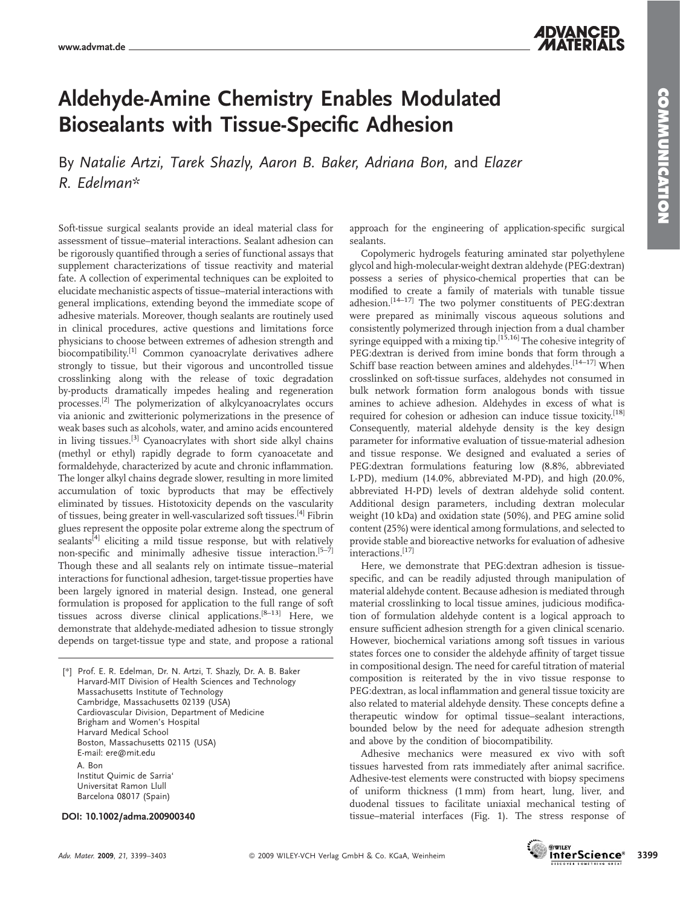## Aldehyde-Amine Chemistry Enables Modulated Biosealants with Tissue-Specific Adhesion

By Natalie Artzi, Tarek Shazly, Aaron B. Baker, Adriana Bon, and Elazer R. Edelman\*

Soft-tissue surgical sealants provide an ideal material class for assessment of tissue–material interactions. Sealant adhesion can be rigorously quantified through a series of functional assays that supplement characterizations of tissue reactivity and material fate. A collection of experimental techniques can be exploited to elucidate mechanistic aspects of tissue–material interactions with general implications, extending beyond the immediate scope of adhesive materials. Moreover, though sealants are routinely used in clinical procedures, active questions and limitations force physicians to choose between extremes of adhesion strength and biocompatibility.[1] Common cyanoacrylate derivatives adhere strongly to tissue, but their vigorous and uncontrolled tissue crosslinking along with the release of toxic degradation by-products dramatically impedes healing and regeneration processes.[2] The polymerization of alkylcyanoacrylates occurs via anionic and zwitterionic polymerizations in the presence of weak bases such as alcohols, water, and amino acids encountered in living tissues.<sup>[3]</sup> Cyanoacrylates with short side alkyl chains (methyl or ethyl) rapidly degrade to form cyanoacetate and formaldehyde, characterized by acute and chronic inflammation. The longer alkyl chains degrade slower, resulting in more limited accumulation of toxic byproducts that may be effectively eliminated by tissues. Histotoxicity depends on the vascularity of tissues, being greater in well-vascularized soft tissues.[4] Fibrin glues represent the opposite polar extreme along the spectrum of sealants<sup>[4]</sup> eliciting a mild tissue response, but with relatively non-specific and minimally adhesive tissue interaction.<sup>[5-7]</sup> Though these and all sealants rely on intimate tissue–material interactions for functional adhesion, target-tissue properties have been largely ignored in material design. Instead, one general formulation is proposed for application to the full range of soft tissues across diverse clinical applications.<sup>[8-13]</sup> Here, we demonstrate that aldehyde-mediated adhesion to tissue strongly depends on target-tissue type and state, and propose a rational

[\*] Prof. E. R. Edelman, Dr. N. Artzi, T. Shazly, Dr. A. B. Baker Harvard-MIT Division of Health Sciences and Technology Massachusetts Institute of Technology Cambridge, Massachusetts 02139 (USA) Cardiovascular Division, Department of Medicine Brigham and Women's Hospital Harvard Medical School Boston, Massachusetts 02115 (USA) E-mail: ere@mit.edu A. Bon Institut Quimic de Sarria' Universitat Ramon Llull Barcelona 08017 (Spain)

#### DOI: 10.1002/adma.200900340

**COMMUNICATION** COMMUNICATION

approach for the engineering of application-specific surgical sealants.

Copolymeric hydrogels featuring aminated star polyethylene glycol and high-molecular-weight dextran aldehyde (PEG:dextran) possess a series of physico-chemical properties that can be modified to create a family of materials with tunable tissue adhesion.[14–17] The two polymer constituents of PEG:dextran were prepared as minimally viscous aqueous solutions and consistently polymerized through injection from a dual chamber syringe equipped with a mixing tip.  $[15,16]$  The cohesive integrity of PEG:dextran is derived from imine bonds that form through a Schiff base reaction between amines and aldehydes.<sup>[14-17]</sup> When crosslinked on soft-tissue surfaces, aldehydes not consumed in bulk network formation form analogous bonds with tissue amines to achieve adhesion. Aldehydes in excess of what is required for cohesion or adhesion can induce tissue toxicity.<sup>[18]</sup> Consequently, material aldehyde density is the key design parameter for informative evaluation of tissue-material adhesion and tissue response. We designed and evaluated a series of PEG:dextran formulations featuring low (8.8%, abbreviated L-PD), medium (14.0%, abbreviated M-PD), and high (20.0%, abbreviated H-PD) levels of dextran aldehyde solid content. Additional design parameters, including dextran molecular weight (10 kDa) and oxidation state (50%), and PEG amine solid content (25%) were identical among formulations, and selected to provide stable and bioreactive networks for evaluation of adhesive interactions.<sup>[17]</sup>

Here, we demonstrate that PEG:dextran adhesion is tissuespecific, and can be readily adjusted through manipulation of material aldehyde content. Because adhesion is mediated through material crosslinking to local tissue amines, judicious modification of formulation aldehyde content is a logical approach to ensure sufficient adhesion strength for a given clinical scenario. However, biochemical variations among soft tissues in various states forces one to consider the aldehyde affinity of target tissue in compositional design. The need for careful titration of material composition is reiterated by the in vivo tissue response to PEG:dextran, as local inflammation and general tissue toxicity are also related to material aldehyde density. These concepts define a therapeutic window for optimal tissue–sealant interactions, bounded below by the need for adequate adhesion strength and above by the condition of biocompatibility.

Adhesive mechanics were measured ex vivo with soft tissues harvested from rats immediately after animal sacrifice. Adhesive-test elements were constructed with biopsy specimens of uniform thickness (1 mm) from heart, lung, liver, and duodenal tissues to facilitate uniaxial mechanical testing of tissue–material interfaces (Fig. 1). The stress response of

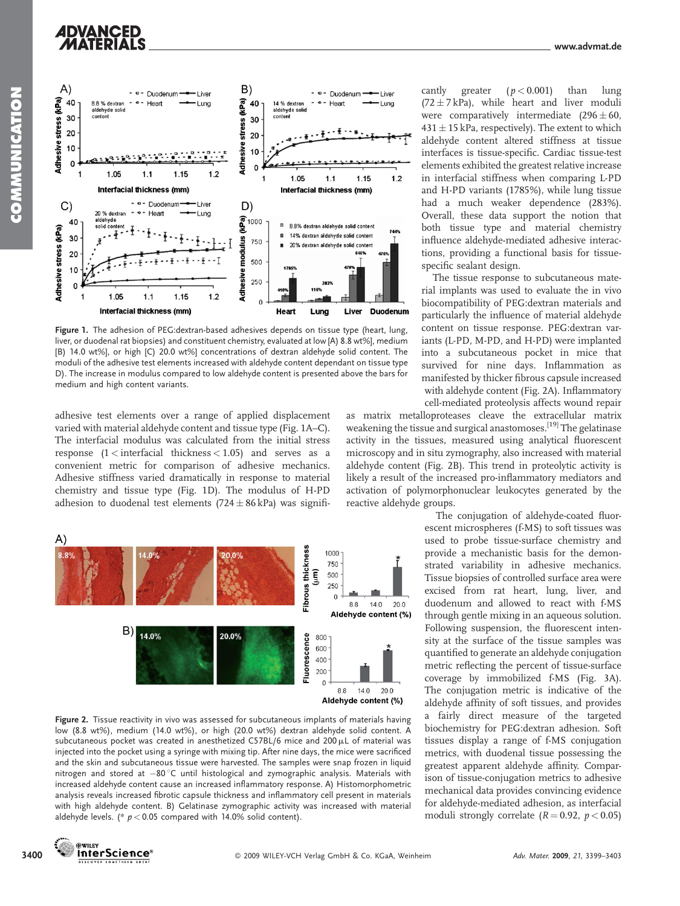# **ADVANCED**



Figure 1. The adhesion of PEG:dextran-based adhesives depends on tissue type (heart, lung, liver, or duodenal rat biopsies) and constituent chemistry, evaluated at low [A) 8.8 wt%], medium [B) 14.0 wt%], or high [C) 20.0 wt%] concentrations of dextran aldehyde solid content. The moduli of the adhesive test elements increased with aldehyde content dependant on tissue type D). The increase in modulus compared to low aldehyde content is presented above the bars for medium and high content variants.

adhesive test elements over a range of applied displacement varied with material aldehyde content and tissue type (Fig. 1A–C). The interfacial modulus was calculated from the initial stress response (1 < interfacial thickness < 1.05) and serves as a convenient metric for comparison of adhesive mechanics. Adhesive stiffness varied dramatically in response to material chemistry and tissue type (Fig. 1D). The modulus of H-PD adhesion to duodenal test elements (724  $\pm$  86 kPa) was signifi-



Figure 2. Tissue reactivity in vivo was assessed for subcutaneous implants of materials having low (8.8 wt%), medium (14.0 wt%), or high (20.0 wt%) dextran aldehyde solid content. A subcutaneous pocket was created in anesthetized C57BL/6 mice and 200  $\mu$ L of material was injected into the pocket using a syringe with mixing tip. After nine days, the mice were sacrificed and the skin and subcutaneous tissue were harvested. The samples were snap frozen in liquid nitrogen and stored at -80°C until histological and zymographic analysis. Materials with increased aldehyde content cause an increased inflammatory response. A) Histomorphometric analysis reveals increased fibrotic capsule thickness and inflammatory cell present in materials with high aldehyde content. B) Gelatinase zymographic activity was increased with material aldehyde levels. (\*  $p < 0.05$  compared with 14.0% solid content).

cantly greater  $(p < 0.001)$  than lung  $(72 \pm 7 \text{ kPa})$ , while heart and liver moduli were comparatively intermediate  $(296 \pm 60,$  $431 \pm 15$  kPa, respectively). The extent to which aldehyde content altered stiffness at tissue interfaces is tissue-specific. Cardiac tissue-test elements exhibited the greatest relative increase in interfacial stiffness when comparing L-PD and H-PD variants (1785%), while lung tissue had a much weaker dependence (283%). Overall, these data support the notion that both tissue type and material chemistry influence aldehyde-mediated adhesive interactions, providing a functional basis for tissuespecific sealant design.

The tissue response to subcutaneous material implants was used to evaluate the in vivo biocompatibility of PEG:dextran materials and particularly the influence of material aldehyde content on tissue response. PEG:dextran variants (L-PD, M-PD, and H-PD) were implanted into a subcutaneous pocket in mice that survived for nine days. Inflammation as manifested by thicker fibrous capsule increased with aldehyde content (Fig. 2A). Inflammatory cell-mediated proteolysis affects wound repair

as matrix metalloproteases cleave the extracellular matrix weakening the tissue and surgical anastomoses.<sup>[19]</sup> The gelatinase activity in the tissues, measured using analytical fluorescent microscopy and in situ zymography, also increased with material aldehyde content (Fig. 2B). This trend in proteolytic activity is likely a result of the increased pro-inflammatory mediators and activation of polymorphonuclear leukocytes generated by the reactive aldehyde groups.

> The conjugation of aldehyde-coated fluorescent microspheres (f-MS) to soft tissues was used to probe tissue-surface chemistry and provide a mechanistic basis for the demonstrated variability in adhesive mechanics. Tissue biopsies of controlled surface area were excised from rat heart, lung, liver, and duodenum and allowed to react with f-MS through gentle mixing in an aqueous solution. Following suspension, the fluorescent intensity at the surface of the tissue samples was quantified to generate an aldehyde conjugation metric reflecting the percent of tissue-surface coverage by immobilized f-MS (Fig. 3A). The conjugation metric is indicative of the aldehyde affinity of soft tissues, and provides a fairly direct measure of the targeted biochemistry for PEG:dextran adhesion. Soft tissues display a range of f-MS conjugation metrics, with duodenal tissue possessing the greatest apparent aldehyde affinity. Comparison of tissue-conjugation metrics to adhesive mechanical data provides convincing evidence for aldehyde-mediated adhesion, as interfacial moduli strongly correlate  $(R = 0.92, p < 0.05)$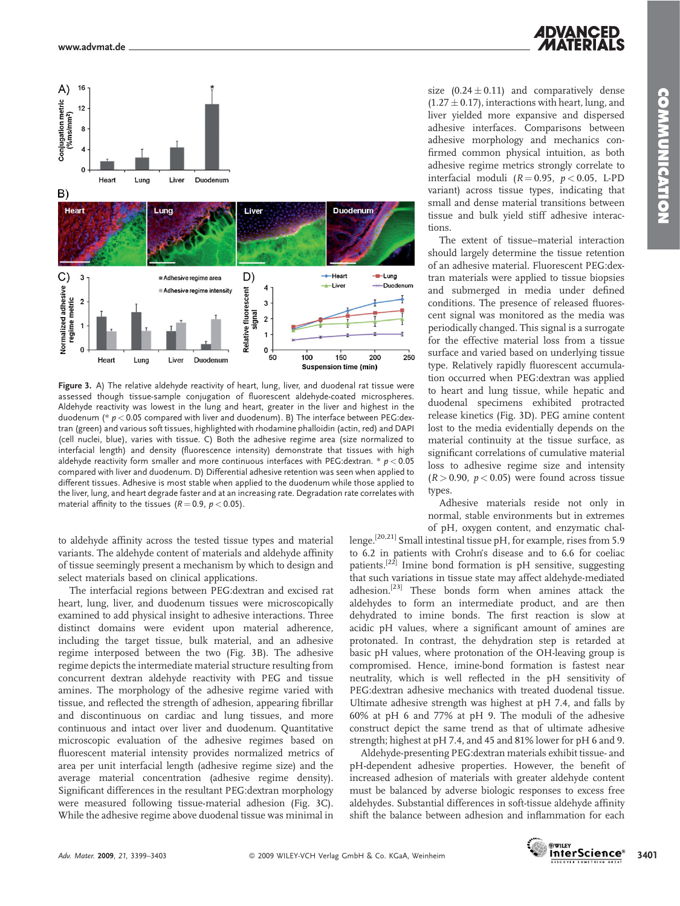



Figure 3. A) The relative aldehyde reactivity of heart, lung, liver, and duodenal rat tissue were assessed though tissue-sample conjugation of fluorescent aldehyde-coated microspheres. Aldehyde reactivity was lowest in the lung and heart, greater in the liver and highest in the duodenum ( $* p < 0.05$  compared with liver and duodenum). B) The interface between PEG:dextran (green) and various soft tissues, highlighted with rhodamine phalloidin (actin, red) and DAPI (cell nuclei, blue), varies with tissue. C) Both the adhesive regime area (size normalized to interfacial length) and density (fluorescence intensity) demonstrate that tissues with high aldehyde reactivity form smaller and more continuous interfaces with PEG: dextran.  $* p < 0.05$ compared with liver and duodenum. D) Differential adhesive retention was seen when applied to different tissues. Adhesive is most stable when applied to the duodenum while those applied to the liver, lung, and heart degrade faster and at an increasing rate. Degradation rate correlates with material affinity to the tissues ( $R = 0.9$ ,  $p < 0.05$ ).

to aldehyde affinity across the tested tissue types and material variants. The aldehyde content of materials and aldehyde affinity of tissue seemingly present a mechanism by which to design and select materials based on clinical applications.

The interfacial regions between PEG:dextran and excised rat heart, lung, liver, and duodenum tissues were microscopically examined to add physical insight to adhesive interactions. Three distinct domains were evident upon material adherence, including the target tissue, bulk material, and an adhesive regime interposed between the two (Fig. 3B). The adhesive regime depicts the intermediate material structure resulting from concurrent dextran aldehyde reactivity with PEG and tissue amines. The morphology of the adhesive regime varied with tissue, and reflected the strength of adhesion, appearing fibrillar and discontinuous on cardiac and lung tissues, and more continuous and intact over liver and duodenum. Quantitative microscopic evaluation of the adhesive regimes based on fluorescent material intensity provides normalized metrics of area per unit interfacial length (adhesive regime size) and the average material concentration (adhesive regime density). Significant differences in the resultant PEG:dextran morphology were measured following tissue-material adhesion (Fig. 3C). While the adhesive regime above duodenal tissue was minimal in size  $(0.24 \pm 0.11)$  and comparatively dense  $(1.27 \pm 0.17)$ , interactions with heart, lung, and liver yielded more expansive and dispersed adhesive interfaces. Comparisons between adhesive morphology and mechanics confirmed common physical intuition, as both adhesive regime metrics strongly correlate to interfacial moduli ( $R = 0.95$ ,  $p < 0.05$ , L-PD variant) across tissue types, indicating that small and dense material transitions between tissue and bulk yield stiff adhesive interactions.

The extent of tissue–material interaction should largely determine the tissue retention of an adhesive material. Fluorescent PEG:dextran materials were applied to tissue biopsies and submerged in media under defined conditions. The presence of released fluorescent signal was monitored as the media was periodically changed. This signal is a surrogate for the effective material loss from a tissue surface and varied based on underlying tissue type. Relatively rapidly fluorescent accumulation occurred when PEG:dextran was applied to heart and lung tissue, while hepatic and duodenal specimens exhibited protracted release kinetics (Fig. 3D). PEG amine content lost to the media evidentially depends on the material continuity at the tissue surface, as significant correlations of cumulative material loss to adhesive regime size and intensity  $(R > 0.90, p < 0.05)$  were found across tissue types.

Adhesive materials reside not only in normal, stable environments but in extremes of pH, oxygen content, and enzymatic chal-

lenge.[20,21] Small intestinal tissue pH, for example, rises from 5.9 to 6.2 in patients with Crohn's disease and to 6.6 for coeliac patients.<sup>[22]</sup> Imine bond formation is pH sensitive, suggesting that such variations in tissue state may affect aldehyde-mediated adhesion.[23] These bonds form when amines attack the aldehydes to form an intermediate product, and are then dehydrated to imine bonds. The first reaction is slow at acidic pH values, where a significant amount of amines are protonated. In contrast, the dehydration step is retarded at basic pH values, where protonation of the OH-leaving group is compromised. Hence, imine-bond formation is fastest near neutrality, which is well reflected in the pH sensitivity of PEG:dextran adhesive mechanics with treated duodenal tissue. Ultimate adhesive strength was highest at pH 7.4, and falls by 60% at pH 6 and 77% at pH 9. The moduli of the adhesive construct depict the same trend as that of ultimate adhesive strength; highest at pH 7.4, and 45 and 81% lower for pH 6 and 9.

Aldehyde-presenting PEG:dextran materials exhibit tissue- and pH-dependent adhesive properties. However, the benefit of increased adhesion of materials with greater aldehyde content must be balanced by adverse biologic responses to excess free aldehydes. Substantial differences in soft-tissue aldehyde affinity shift the balance between adhesion and inflammation for each

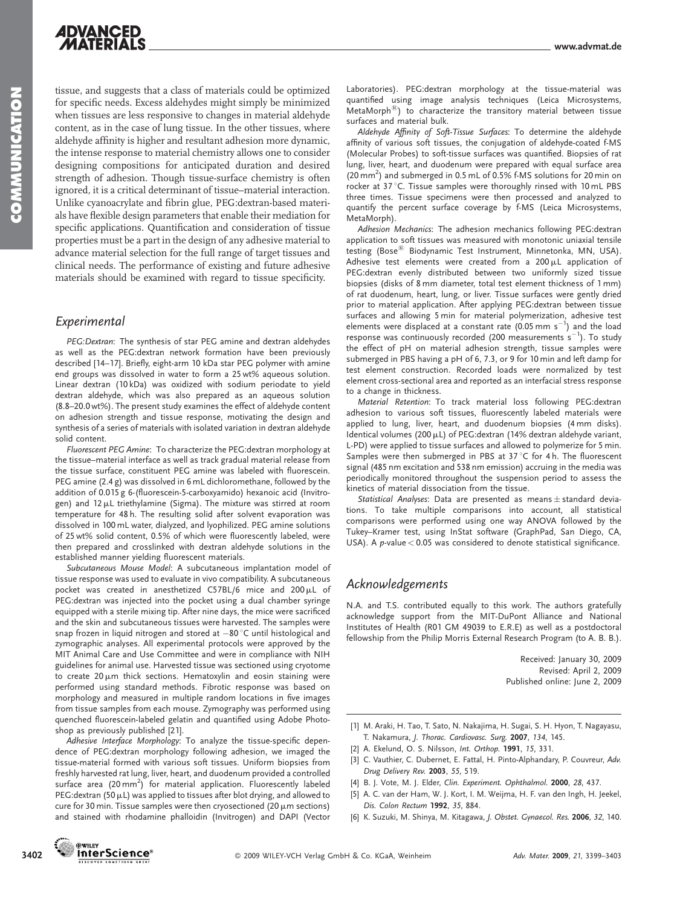tissue, and suggests that a class of materials could be optimized for specific needs. Excess aldehydes might simply be minimized when tissues are less responsive to changes in material aldehyde content, as in the case of lung tissue. In the other tissues, where aldehyde affinity is higher and resultant adhesion more dynamic, the intense response to material chemistry allows one to consider designing compositions for anticipated duration and desired strength of adhesion. Though tissue-surface chemistry is often ignored, it is a critical determinant of tissue–material interaction. Unlike cyanoacrylate and fibrin glue, PEG:dextran-based materials have flexible design parameters that enable their mediation for specific applications. Quantification and consideration of tissue properties must be a part in the design of any adhesive material to advance material selection for the full range of target tissues and clinical needs. The performance of existing and future adhesive materials should be examined with regard to tissue specificity.

### Experimental

PEG:Dextran: The synthesis of star PEG amine and dextran aldehydes as well as the PEG:dextran network formation have been previously described [14–17]. Briefly, eight-arm 10 kDa star PEG polymer with amine end groups was dissolved in water to form a 25 wt% aqueous solution. Linear dextran (10 kDa) was oxidized with sodium periodate to yield dextran aldehyde, which was also prepared as an aqueous solution (8.8–20.0 wt%). The present study examines the effect of aldehyde content on adhesion strength and tissue response, motivating the design and synthesis of a series of materials with isolated variation in dextran aldehyde solid content.

Fluorescent PEG Amine: To characterize the PEG:dextran morphology at the tissue–material interface as well as track gradual material release from the tissue surface, constituent PEG amine was labeled with fluorescein. PEG amine (2.4 g) was dissolved in 6 mL dichloromethane, followed by the addition of 0.015 g 6-(fluorescein-5-carboxyamido) hexanoic acid (Invitrogen) and  $12 \mu L$  triethylamine (Sigma). The mixture was stirred at room temperature for 48 h. The resulting solid after solvent evaporation was dissolved in 100 mL water, dialyzed, and lyophilized. PEG amine solutions of 25 wt% solid content, 0.5% of which were fluorescently labeled, were then prepared and crosslinked with dextran aldehyde solutions in the established manner yielding fluorescent materials.

Subcutaneous Mouse Model: A subcutaneous implantation model of tissue response was used to evaluate in vivo compatibility. A subcutaneous pocket was created in anesthetized C57BL/6 mice and 200 $\mu$ L of PEG:dextran was injected into the pocket using a dual chamber syringe equipped with a sterile mixing tip. After nine days, the mice were sacrificed and the skin and subcutaneous tissues were harvested. The samples were snap frozen in liquid nitrogen and stored at  $-80\,^{\circ}$ C until histological and zymographic analyses. All experimental protocols were approved by the MIT Animal Care and Use Committee and were in compliance with NIH guidelines for animal use. Harvested tissue was sectioned using cryotome to create  $20 \mu m$  thick sections. Hematoxylin and eosin staining were performed using standard methods. Fibrotic response was based on morphology and measured in multiple random locations in five images from tissue samples from each mouse. Zymography was performed using quenched fluorescein-labeled gelatin and quantified using Adobe Photoshop as previously published [21].

Adhesive Interface Morphology: To analyze the tissue-specific dependence of PEG:dextran morphology following adhesion, we imaged the tissue-material formed with various soft tissues. Uniform biopsies from freshly harvested rat lung, liver, heart, and duodenum provided a controlled surface area  $(20\,\text{mm}^2)$  for material application. Fluorescently labeled PEG: dextran (50  $\mu$ L) was applied to tissues after blot drying, and allowed to cure for 30 min. Tissue samples were then cryosectioned (20  $\mu$ m sections) and stained with rhodamine phalloidin (Invitrogen) and DAPI (Vector Laboratories). PEG:dextran morphology at the tissue-material was quantified using image analysis techniques (Leica Microsystems, MetaMorph $^{(8)}$ ) to characterize the transitory material between tissue surfaces and material bulk.

Aldehyde Affinity of Soft-Tissue Surfaces: To determine the aldehyde affinity of various soft tissues, the conjugation of aldehyde-coated f-MS (Molecular Probes) to soft-tissue surfaces was quantified. Biopsies of rat lung, liver, heart, and duodenum were prepared with equal surface area (20 mm<sup>2</sup>) and submerged in 0.5 mL of 0.5% f-MS solutions for 20 min on rocker at 37 °C. Tissue samples were thoroughly rinsed with 10 mL PBS three times. Tissue specimens were then processed and analyzed to quantify the percent surface coverage by f-MS (Leica Microsystems, MetaMorph).

Adhesion Mechanics: The adhesion mechanics following PEG:dextran application to soft tissues was measured with monotonic uniaxial tensile testing (Bose<sup>®</sup> Biodynamic Test Instrument, Minnetonka, MN, USA). Adhesive test elements were created from a  $200 \mu L$  application of PEG:dextran evenly distributed between two uniformly sized tissue biopsies (disks of 8 mm diameter, total test element thickness of 1 mm) of rat duodenum, heart, lung, or liver. Tissue surfaces were gently dried prior to material application. After applying PEG:dextran between tissue surfaces and allowing 5 min for material polymerization, adhesive test elements were displaced at a constant rate  $(0.05 \text{ mm s}^{-1})$  and the load response was continuously recorded (200 measurements  $s^{-1}$ ). To study the effect of pH on material adhesion strength, tissue samples were submerged in PBS having a pH of 6, 7.3, or 9 for 10 min and left damp for test element construction. Recorded loads were normalized by test element cross-sectional area and reported as an interfacial stress response to a change in thickness.

Material Retention: To track material loss following PEG:dextran adhesion to various soft tissues, fluorescently labeled materials were applied to lung, liver, heart, and duodenum biopsies (4 mm disks). Identical volumes (200  $\mu$ L) of PEG:dextran (14% dextran aldehyde variant, L-PD) were applied to tissue surfaces and allowed to polymerize for 5 min. Samples were then submerged in PBS at 37 °C for 4 h. The fluorescent signal (485 nm excitation and 538 nm emission) accruing in the media was periodically monitored throughout the suspension period to assess the kinetics of material dissociation from the tissue.

Statistical Analyses: Data are presented as means  $\pm$  standard deviations. To take multiple comparisons into account, all statistical comparisons were performed using one way ANOVA followed by the Tukey–Kramer test, using InStat software (GraphPad, San Diego, CA, USA). A  $p$ -value < 0.05 was considered to denote statistical significance.

### Acknowledgements

N.A. and T.S. contributed equally to this work. The authors gratefully acknowledge support from the MIT-DuPont Alliance and National Institutes of Health (R01 GM 49039 to E.R.E) as well as a postdoctoral fellowship from the Philip Morris External Research Program (to A. B. B.).

> Received: January 30, 2009 Revised: April 2, 2009 Published online: June 2, 2009

- [1] M. Araki, H. Tao, T. Sato, N. Nakajima, H. Sugai, S. H. Hyon, T. Nagayasu, T. Nakamura, J. Thorac. Cardiovasc. Surg. 2007, 134, 145.
- [2] A. Ekelund, O. S. Nilsson, Int. Orthop. 1991, 15, 331.
- [3] C. Vauthier, C. Dubernet, E. Fattal, H. Pinto-Alphandary, P. Couvreur, Adv. Drug Delivery Rev. 2003, 55, 519.
- [4] B. J. Vote, M. J. Elder, Clin. Experiment. Ophthalmol. 2000, 28, 437.
- [5] A. C. van der Ham, W. J. Kort, I. M. Weijma, H. F. van den Ingh, H. Jeekel, Dis. Colon Rectum 1992, 35, 884.
- [6] K. Suzuki, M. Shinya, M. Kitagawa, J. Obstet. Gynaecol. Res. 2006, 32, 140.